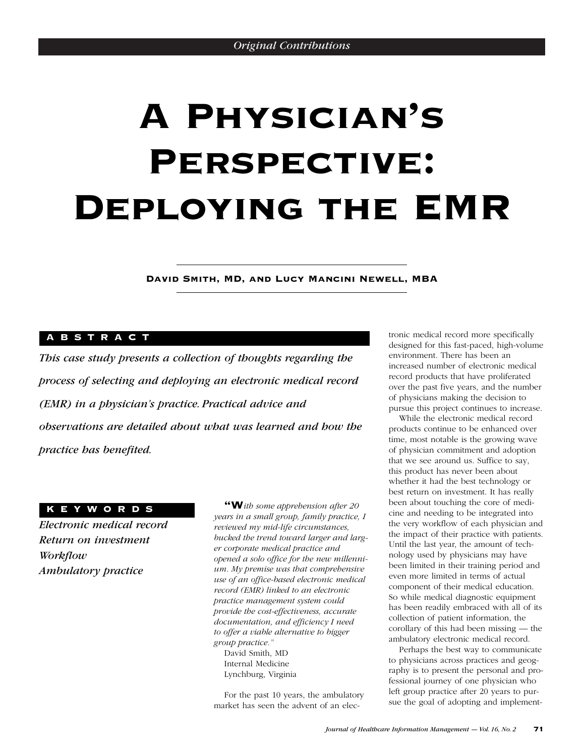# A Physician's PERSPECTIVE: Deploying the EMR

David Smith, MD, and Lucy Mancini Newell, MBA

# ABSTRACT

*This case study presents a collection of thoughts regarding the process of selecting and deploying an electronic medical record (EMR) in a physician's practice. Practical advice and observations are detailed about what was learned and how the practice has benefited.*

# KEYWORDS

*Electronic medical record Return on investment Workflow Ambulatory practice*

"W*ith some apprehension after 20 years in a small group, family practice, I reviewed my mid-life circumstances, bucked the trend toward larger and larger corporate medical practice and opened a solo office for the new millennium. My premise was that comprehensive use of an office-based electronic medical record (EMR) linked to an electronic practice management system could provide the cost-effectiveness, accurate documentation, and efficiency I need to offer a viable alternative to bigger group practice."* David Smith, MD

Internal Medicine Lynchburg, Virginia

For the past 10 years, the ambulatory market has seen the advent of an elec-

tronic medical record more specifically designed for this fast-paced, high-volume environment. There has been an increased number of electronic medical record products that have proliferated over the past five years, and the number of physicians making the decision to pursue this project continues to increase.

While the electronic medical record products continue to be enhanced over time, most notable is the growing wave of physician commitment and adoption that we see around us. Suffice to say, this product has never been about whether it had the best technology or best return on investment. It has really been about touching the core of medicine and needing to be integrated into the very workflow of each physician and the impact of their practice with patients. Until the last year, the amount of technology used by physicians may have been limited in their training period and even more limited in terms of actual component of their medical education. So while medical diagnostic equipment has been readily embraced with all of its collection of patient information, the corollary of this had been missing — the ambulatory electronic medical record.

Perhaps the best way to communicate to physicians across practices and geography is to present the personal and professional journey of one physician who left group practice after 20 years to pursue the goal of adopting and implement-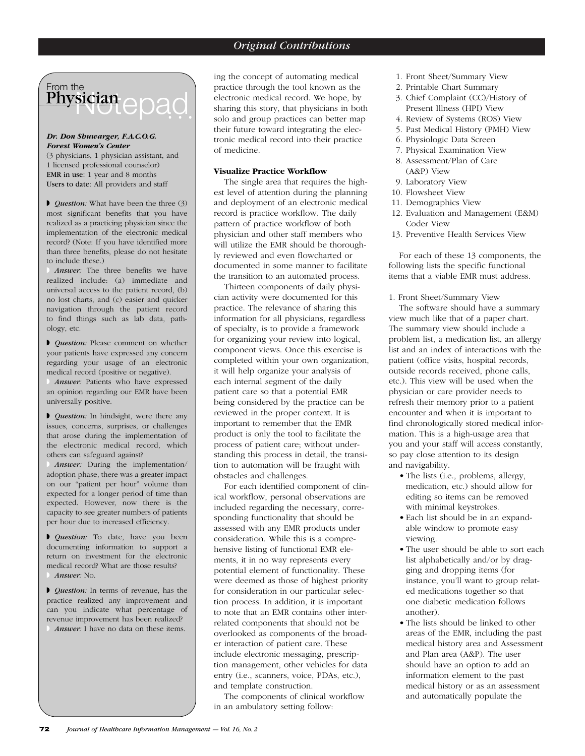# Physician epad From the

### *Dr. Don Shuwarger, F.A.C.O.G. Forest Women's Center*

(3 physicians, 1 physician assistant, and 1 licensed professional counselor) EMR in use: 1 year and 8 months Users to date: All providers and staff

◗ *Question:* What have been the three (3) most significant benefits that you have realized as a practicing physician since the implementation of the electronic medical record? (Note: If you have identified more than three benefits, please do not hesitate to include these.)

Answer: The three benefits we have realized include: (a) immediate and universal access to the patient record, (b) no lost charts, and (c) easier and quicker navigation through the patient record to find things such as lab data, pathology, etc.

◗ *Question:* Please comment on whether your patients have expressed any concern regarding your usage of an electronic medical record (positive or negative).

Answer: Patients who have expressed an opinion regarding our EMR have been universally positive.

◗ *Question:* In hindsight, were there any issues, concerns, surprises, or challenges that arose during the implementation of the electronic medical record, which others can safeguard against?

◗ *Answer:* During the implementation/ adoption phase, there was a greater impact on our "patient per hour" volume than expected for a longer period of time than expected. However, now there is the capacity to see greater numbers of patients per hour due to increased efficiency.

◗ *Question:* To date, have you been documenting information to support a return on investment for the electronic medical record? What are those results? ◗ *Answer:* No.

◗ *Question:* In terms of revenue, has the practice realized any improvement and can you indicate what percentage of revenue improvement has been realized? Answer: I have no data on these items.

ing the concept of automating medical practice through the tool known as the electronic medical record. We hope, by sharing this story, that physicians in both solo and group practices can better map their future toward integrating the electronic medical record into their practice of medicine.

# **Visualize Practice Workflow**

The single area that requires the highest level of attention during the planning and deployment of an electronic medical record is practice workflow. The daily pattern of practice workflow of both physician and other staff members who will utilize the EMR should be thoroughly reviewed and even flowcharted or documented in some manner to facilitate the transition to an automated process.

Thirteen components of daily physician activity were documented for this practice. The relevance of sharing this information for all physicians, regardless of specialty, is to provide a framework for organizing your review into logical, component views. Once this exercise is completed within your own organization, it will help organize your analysis of each internal segment of the daily patient care so that a potential EMR being considered by the practice can be reviewed in the proper context. It is important to remember that the EMR product is only the tool to facilitate the process of patient care; without understanding this process in detail, the transition to automation will be fraught with obstacles and challenges.

For each identified component of clinical workflow, personal observations are included regarding the necessary, corresponding functionality that should be assessed with any EMR products under consideration. While this is a comprehensive listing of functional EMR elements, it in no way represents every potential element of functionality. These were deemed as those of highest priority for consideration in our particular selection process. In addition, it is important to note that an EMR contains other interrelated components that should not be overlooked as components of the broader interaction of patient care. These include electronic messaging, prescription management, other vehicles for data entry (i.e., scanners, voice, PDAs, etc.), and template construction.

The components of clinical workflow in an ambulatory setting follow:

- 1. Front Sheet/Summary View
- 2. Printable Chart Summary
- 3. Chief Complaint (CC)/History of Present Illness (HPI) View
- 4. Review of Systems (ROS) View
- 5. Past Medical History (PMH) View
- 6. Physiologic Data Screen
- 7. Physical Examination View
- 8. Assessment/Plan of Care (A&P) View
- 9. Laboratory View
- 10. Flowsheet View
- 11. Demographics View
- 12. Evaluation and Management (E&M) Coder View
- 13. Preventive Health Services View

For each of these 13 components, the following lists the specific functional items that a viable EMR must address.

1. Front Sheet/Summary View

The software should have a summary view much like that of a paper chart. The summary view should include a problem list, a medication list, an allergy list and an index of interactions with the patient (office visits, hospital records, outside records received, phone calls, etc.). This view will be used when the physician or care provider needs to refresh their memory prior to a patient encounter and when it is important to find chronologically stored medical information. This is a high-usage area that you and your staff will access constantly, so pay close attention to its design and navigability.

- The lists (i.e., problems, allergy, medication, etc.) should allow for editing so items can be removed with minimal keystrokes.
- Each list should be in an expandable window to promote easy viewing.
- The user should be able to sort each list alphabetically and/or by dragging and dropping items (for instance, you'll want to group related medications together so that one diabetic medication follows another).
- The lists should be linked to other areas of the EMR, including the past medical history area and Assessment and Plan area (A&P). The user should have an option to add an information element to the past medical history or as an assessment and automatically populate the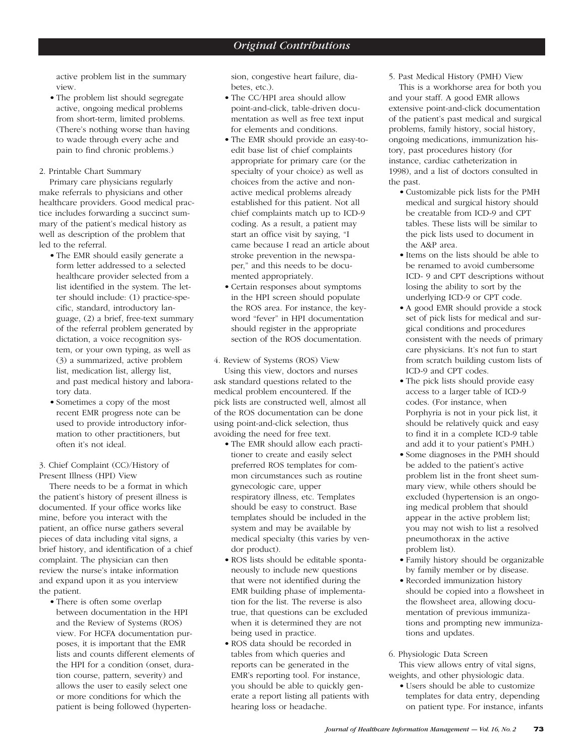active problem list in the summary view.

• The problem list should segregate active, ongoing medical problems from short-term, limited problems. (There's nothing worse than having to wade through every ache and pain to find chronic problems.)

# 2. Printable Chart Summary

Primary care physicians regularly make referrals to physicians and other healthcare providers. Good medical practice includes forwarding a succinct summary of the patient's medical history as well as description of the problem that led to the referral.

- The EMR should easily generate a form letter addressed to a selected healthcare provider selected from a list identified in the system. The letter should include: (1) practice-specific, standard, introductory language, (2) a brief, free-text summary of the referral problem generated by dictation, a voice recognition system, or your own typing, as well as (3) a summarized, active problem list, medication list, allergy list, and past medical history and laboratory data.
- Sometimes a copy of the most recent EMR progress note can be used to provide introductory information to other practitioners, but often it's not ideal.
- 3. Chief Complaint (CC)/History of Present Illness (HPI) View

There needs to be a format in which the patient's history of present illness is documented. If your office works like mine, before you interact with the patient, an office nurse gathers several pieces of data including vital signs, a brief history, and identification of a chief complaint. The physician can then review the nurse's intake information and expand upon it as you interview the patient.

• There is often some overlap between documentation in the HPI and the Review of Systems (ROS) view. For HCFA documentation purposes, it is important that the EMR lists and counts different elements of the HPI for a condition (onset, duration course, pattern, severity) and allows the user to easily select one or more conditions for which the patient is being followed (hypertension, congestive heart failure, diabetes, etc.).

- The CC/HPI area should allow point-and-click, table-driven documentation as well as free text input for elements and conditions.
- The EMR should provide an easy-toedit base list of chief complaints appropriate for primary care (or the specialty of your choice) as well as choices from the active and nonactive medical problems already established for this patient. Not all chief complaints match up to ICD-9 coding. As a result, a patient may start an office visit by saying, "I came because I read an article about stroke prevention in the newspaper," and this needs to be documented appropriately.
- Certain responses about symptoms in the HPI screen should populate the ROS area. For instance, the keyword "fever" in HPI documentation should register in the appropriate section of the ROS documentation.
- 4. Review of Systems (ROS) View Using this view, doctors and nurses ask standard questions related to the medical problem encountered. If the pick lists are constructed well, almost all of the ROS documentation can be done using point-and-click selection, thus avoiding the need for free text.
	- The EMR should allow each practitioner to create and easily select preferred ROS templates for common circumstances such as routine gynecologic care, upper respiratory illness, etc. Templates should be easy to construct. Base templates should be included in the system and may be available by medical specialty (this varies by vendor product).
	- ROS lists should be editable spontaneously to include new questions that were not identified during the EMR building phase of implementation for the list. The reverse is also true, that questions can be excluded when it is determined they are not being used in practice.
	- ROS data should be recorded in tables from which queries and reports can be generated in the EMR's reporting tool. For instance, you should be able to quickly generate a report listing all patients with hearing loss or headache.

5. Past Medical History (PMH) View

This is a workhorse area for both you and your staff. A good EMR allows extensive point-and-click documentation of the patient's past medical and surgical problems, family history, social history, ongoing medications, immunization history, past procedures history (for instance, cardiac catheterization in 1998), and a list of doctors consulted in the past.

- Customizable pick lists for the PMH medical and surgical history should be creatable from ICD-9 and CPT tables. These lists will be similar to the pick lists used to document in the A&P area.
- Items on the lists should be able to be renamed to avoid cumbersome ICD- 9 and CPT descriptions without losing the ability to sort by the underlying ICD-9 or CPT code.
- A good EMR should provide a stock set of pick lists for medical and surgical conditions and procedures consistent with the needs of primary care physicians. It's not fun to start from scratch building custom lists of ICD-9 and CPT codes.
- The pick lists should provide easy access to a larger table of ICD-9 codes. (For instance, when Porphyria is not in your pick list, it should be relatively quick and easy to find it in a complete ICD-9 table and add it to your patient's PMH.)
- Some diagnoses in the PMH should be added to the patient's active problem list in the front sheet summary view, while others should be excluded (hypertension is an ongoing medical problem that should appear in the active problem list; you may not wish to list a resolved pneumothorax in the active problem list).
- Family history should be organizable by family member or by disease.
- Recorded immunization history should be copied into a flowsheet in the flowsheet area, allowing documentation of previous immunizations and prompting new immunizations and updates.

6. Physiologic Data Screen This view allows entry of vital signs, weights, and other physiologic data.

• Users should be able to customize templates for data entry, depending on patient type. For instance, infants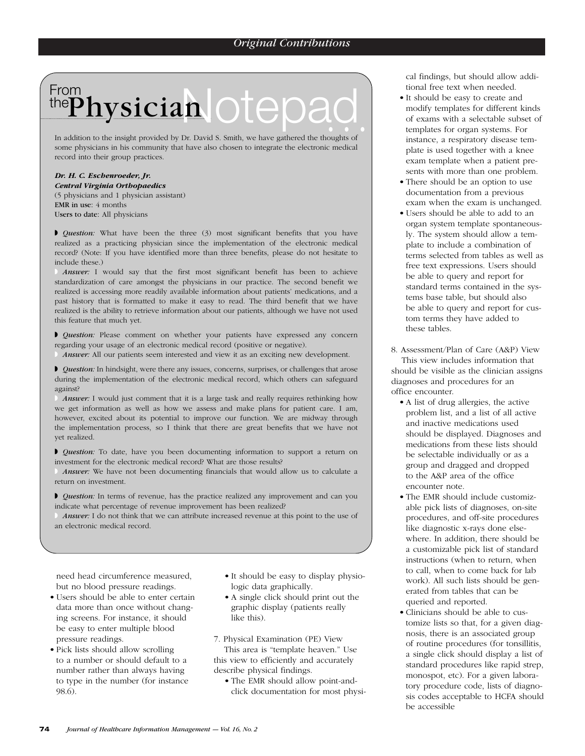# From the  $\mathsf{P}{\mathbf{h} \textbf{y}}{\mathbf{s} \textbf{i} \textbf{c} \textbf{i} \textbf{a} \textbf{n}} \ \textbf{O}{\mathbf{t}}{\mathbf{O}}{\mathbf{a}}{\mathbf{O}}$ Physician Otepad

some physicians in his community that have also chosen to integrate the electronic medical record into their group practices.

# *Dr. H. C. Eschenroeder, Jr.*

*Central Virginia Orthopaedics* (5 physicians and 1 physician assistant) EMR in use: 4 months Users to date: All physicians

◗ *Question:* What have been the three (3) most significant benefits that you have realized as a practicing physician since the implementation of the electronic medical record? (Note: If you have identified more than three benefits, please do not hesitate to include these.)

◗ *Answer:* I would say that the first most significant benefit has been to achieve standardization of care amongst the physicians in our practice. The second benefit we realized is accessing more readily available information about patients' medications, and a past history that is formatted to make it easy to read. The third benefit that we have realized is the ability to retrieve information about our patients, although we have not used this feature that much yet.

**I** *Question:* Please comment on whether your patients have expressed any concern regarding your usage of an electronic medical record (positive or negative).

◗ *Answer:* All our patients seem interested and view it as an exciting new development.

◗ *Question:* In hindsight, were there any issues, concerns, surprises, or challenges that arose during the implementation of the electronic medical record, which others can safeguard against?

Answer: I would just comment that it is a large task and really requires rethinking how we get information as well as how we assess and make plans for patient care. I am, however, excited about its potential to improve our function. We are midway through the implementation process, so I think that there are great benefits that we have not yet realized.

◗ *Question:* To date, have you been documenting information to support a return on investment for the electronic medical record? What are those results?

Answer: We have not been documenting financials that would allow us to calculate a return on investment.

**▶** *Question:* In terms of revenue, has the practice realized any improvement and can you indicate what percentage of revenue improvement has been realized?

Answer: I do not think that we can attribute increased revenue at this point to the use of an electronic medical record.

need head circumference measured, but no blood pressure readings.

- Users should be able to enter certain data more than once without changing screens. For instance, it should be easy to enter multiple blood pressure readings.
- Pick lists should allow scrolling to a number or should default to a number rather than always having to type in the number (for instance 98.6).
- It should be easy to display physiologic data graphically.
- A single click should print out the graphic display (patients really like this).

7. Physical Examination (PE) View

This area is "template heaven." Use this view to efficiently and accurately describe physical findings.

• The EMR should allow point-andclick documentation for most physical findings, but should allow additional free text when needed.

- It should be easy to create and modify templates for different kinds of exams with a selectable subset of templates for organ systems. For instance, a respiratory disease template is used together with a knee exam template when a patient presents with more than one problem.
- There should be an option to use documentation from a previous exam when the exam is unchanged.
- Users should be able to add to an organ system template spontaneously. The system should allow a template to include a combination of terms selected from tables as well as free text expressions. Users should be able to query and report for standard terms contained in the systems base table, but should also be able to query and report for custom terms they have added to these tables.

8. Assessment/Plan of Care (A&P) View This view includes information that should be visible as the clinician assigns diagnoses and procedures for an office encounter.

- A list of drug allergies, the active problem list, and a list of all active and inactive medications used should be displayed. Diagnoses and medications from these lists should be selectable individually or as a group and dragged and dropped to the A&P area of the office encounter note.
- The EMR should include customizable pick lists of diagnoses, on-site procedures, and off-site procedures like diagnostic x-rays done elsewhere. In addition, there should be a customizable pick list of standard instructions (when to return, when to call, when to come back for lab work). All such lists should be generated from tables that can be queried and reported.
- Clinicians should be able to customize lists so that, for a given diagnosis, there is an associated group of routine procedures (for tonsillitis, a single click should display a list of standard procedures like rapid strep, monospot, etc). For a given laboratory procedure code, lists of diagnosis codes acceptable to HCFA should be accessible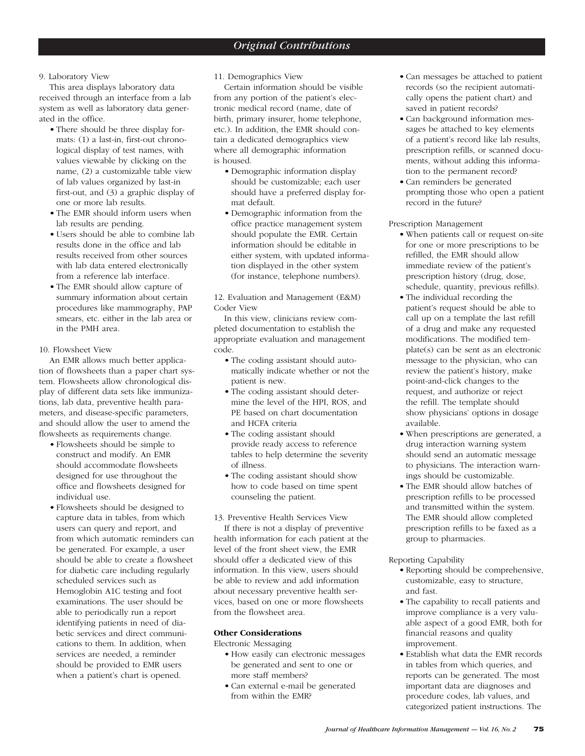# 9. Laboratory View

This area displays laboratory data received through an interface from a lab system as well as laboratory data generated in the office.

- There should be three display formats: (1) a last-in, first-out chronological display of test names, with values viewable by clicking on the name, (2) a customizable table view of lab values organized by last-in first-out, and (3) a graphic display of one or more lab results.
- The EMR should inform users when lab results are pending.
- Users should be able to combine lab results done in the office and lab results received from other sources with lab data entered electronically from a reference lab interface.
- The EMR should allow capture of summary information about certain procedures like mammography, PAP smears, etc. either in the lab area or in the PMH area.

# 10. Flowsheet View

An EMR allows much better application of flowsheets than a paper chart system. Flowsheets allow chronological display of different data sets like immunizations, lab data, preventive health parameters, and disease-specific parameters, and should allow the user to amend the flowsheets as requirements change.

- Flowsheets should be simple to construct and modify. An EMR should accommodate flowsheets designed for use throughout the office and flowsheets designed for individual use.
- Flowsheets should be designed to capture data in tables, from which users can query and report, and from which automatic reminders can be generated. For example, a user should be able to create a flowsheet for diabetic care including regularly scheduled services such as Hemoglobin A1C testing and foot examinations. The user should be able to periodically run a report identifying patients in need of diabetic services and direct communications to them. In addition, when services are needed, a reminder should be provided to EMR users when a patient's chart is opened.

11. Demographics View

Certain information should be visible from any portion of the patient's electronic medical record (name, date of birth, primary insurer, home telephone, etc.). In addition, the EMR should contain a dedicated demographics view where all demographic information is housed.

- Demographic information display should be customizable; each user should have a preferred display format default.
- Demographic information from the office practice management system should populate the EMR. Certain information should be editable in either system, with updated information displayed in the other system (for instance, telephone numbers).

12. Evaluation and Management (E&M) Coder View

In this view, clinicians review completed documentation to establish the appropriate evaluation and management code.

- The coding assistant should automatically indicate whether or not the patient is new.
- The coding assistant should determine the level of the HPI, ROS, and PE based on chart documentation and HCFA criteria
- The coding assistant should provide ready access to reference tables to help determine the severity of illness.
- The coding assistant should show how to code based on time spent counseling the patient.
- 13. Preventive Health Services View If there is not a display of preventive health information for each patient at the level of the front sheet view, the EMR should offer a dedicated view of this information. In this view, users should be able to review and add information about necessary preventive health services, based on one or more flowsheets from the flowsheet area.

# **Other Considerations**

Electronic Messaging

- How easily can electronic messages be generated and sent to one or more staff members?
- Can external e-mail be generated from within the EMR?
- Can messages be attached to patient records (so the recipient automatically opens the patient chart) and saved in patient records?
- Can background information messages be attached to key elements of a patient's record like lab results, prescription refills, or scanned documents, without adding this information to the permanent record?
- Can reminders be generated prompting those who open a patient record in the future?

Prescription Management

- When patients call or request on-site for one or more prescriptions to be refilled, the EMR should allow immediate review of the patient's prescription history (drug, dose, schedule, quantity, previous refills).
- The individual recording the patient's request should be able to call up on a template the last refill of a drug and make any requested modifications. The modified template(s) can be sent as an electronic message to the physician, who can review the patient's history, make point-and-click changes to the request, and authorize or reject the refill. The template should show physicians' options in dosage available.
- When prescriptions are generated, a drug interaction warning system should send an automatic message to physicians. The interaction warnings should be customizable.
- The EMR should allow batches of prescription refills to be processed and transmitted within the system. The EMR should allow completed prescription refills to be faxed as a group to pharmacies.

# Reporting Capability

- Reporting should be comprehensive, customizable, easy to structure, and fast.
- The capability to recall patients and improve compliance is a very valuable aspect of a good EMR, both for financial reasons and quality improvement.
- Establish what data the EMR records in tables from which queries, and reports can be generated. The most important data are diagnoses and procedure codes, lab values, and categorized patient instructions. The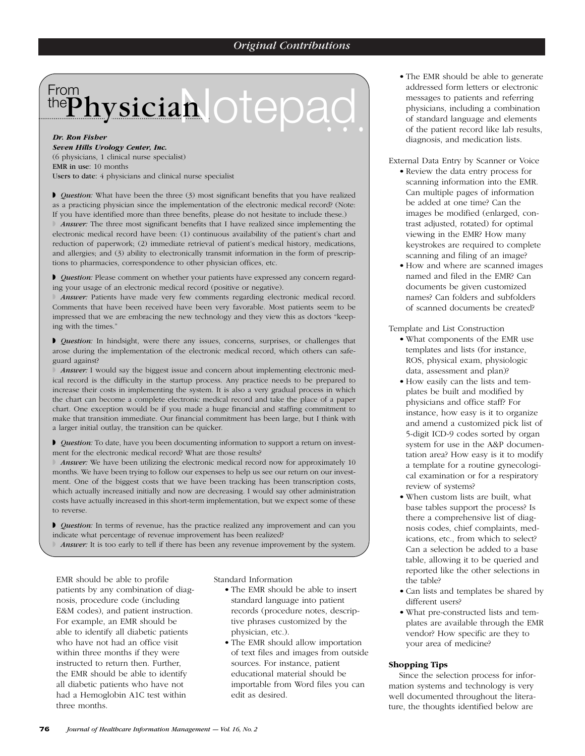# *Original Contributions*

# From the Physician Otepad.

*Dr. Ron Fisher Seven Hills Urology Center, Inc.* (6 physicians, 1 clinical nurse specialist) EMR in use: 10 months Users to date: 4 physicians and clinical nurse specialist

◗ *Question:* What have been the three (3) most significant benefits that you have realized as a practicing physician since the implementation of the electronic medical record? (Note: If you have identified more than three benefits, please do not hesitate to include these.) ◗ *Answer:* The three most significant benefits that I have realized since implementing the electronic medical record have been: (1) continuous availability of the patient's chart and reduction of paperwork; (2) immediate retrieval of patient's medical history, medications, and allergies; and (3) ability to electronically transmit information in the form of prescriptions to pharmacies, correspondence to other physician offices, etc.

◗ *Question:* Please comment on whether your patients have expressed any concern regarding your usage of an electronic medical record (positive or negative).

◗ *Answer:* Patients have made very few comments regarding electronic medical record. Comments that have been received have been very favorable. Most patients seem to be impressed that we are embracing the new technology and they view this as doctors "keeping with the times."

◗ *Question:* In hindsight, were there any issues, concerns, surprises, or challenges that arose during the implementation of the electronic medical record, which others can safeguard against?

◗ *Answer:* I would say the biggest issue and concern about implementing electronic medical record is the difficulty in the startup process. Any practice needs to be prepared to increase their costs in implementing the system. It is also a very gradual process in which the chart can become a complete electronic medical record and take the place of a paper chart. One exception would be if you made a huge financial and staffing commitment to make that transition immediate. Our financial commitment has been large, but I think with a larger initial outlay, the transition can be quicker.

◗ *Question:* To date, have you been documenting information to support a return on investment for the electronic medical record? What are those results?

**Answer:** We have been utilizing the electronic medical record now for approximately 10 months. We have been trying to follow our expenses to help us see our return on our investment. One of the biggest costs that we have been tracking has been transcription costs, which actually increased initially and now are decreasing. I would say other administration costs have actually increased in this short-term implementation, but we expect some of these to reverse.

◗ *Question:* In terms of revenue, has the practice realized any improvement and can you indicate what percentage of revenue improvement has been realized?

Answer: It is too early to tell if there has been any revenue improvement by the system.

EMR should be able to profile patients by any combination of diagnosis, procedure code (including E&M codes), and patient instruction. For example, an EMR should be able to identify all diabetic patients who have not had an office visit within three months if they were instructed to return then. Further, the EMR should be able to identify all diabetic patients who have not had a Hemoglobin A1C test within three months.

Standard Information

- The EMR should be able to insert standard language into patient records (procedure notes, descriptive phrases customized by the physician, etc.).
- The EMR should allow importation of text files and images from outside sources. For instance, patient educational material should be importable from Word files you can edit as desired.
- The EMR should be able to generate addressed form letters or electronic messages to patients and referring physicians, including a combination of standard language and elements of the patient record like lab results, diagnosis, and medication lists.
- External Data Entry by Scanner or Voice
	- Review the data entry process for scanning information into the EMR. Can multiple pages of information be added at one time? Can the images be modified (enlarged, contrast adjusted, rotated) for optimal viewing in the EMR? How many keystrokes are required to complete scanning and filing of an image?
	- How and where are scanned images named and filed in the EMR? Can documents be given customized names? Can folders and subfolders of scanned documents be created?

Template and List Construction

- What components of the EMR use templates and lists (for instance, ROS, physical exam, physiologic data, assessment and plan)?
- How easily can the lists and templates be built and modified by physicians and office staff? For instance, how easy is it to organize and amend a customized pick list of 5-digit ICD-9 codes sorted by organ system for use in the A&P documentation area? How easy is it to modify a template for a routine gynecological examination or for a respiratory review of systems?
- When custom lists are built, what base tables support the process? Is there a comprehensive list of diagnosis codes, chief complaints, medications, etc., from which to select? Can a selection be added to a base table, allowing it to be queried and reported like the other selections in the table?
- Can lists and templates be shared by different users?
- What pre-constructed lists and templates are available through the EMR vendor? How specific are they to your area of medicine?

# **Shopping Tips**

Since the selection process for information systems and technology is very well documented throughout the literature, the thoughts identified below are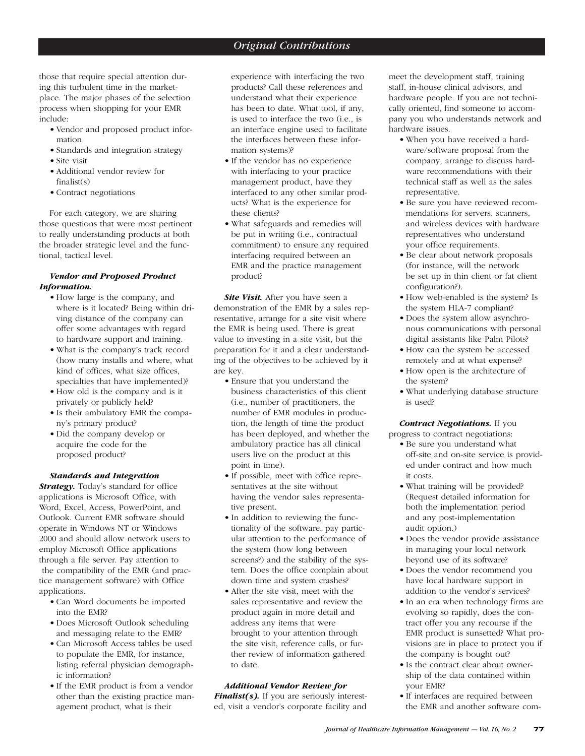those that require special attention during this turbulent time in the marketplace. The major phases of the selection process when shopping for your EMR include:

- Vendor and proposed product information
- Standards and integration strategy
- Site visit
- Additional vendor review for  $finalist(s)$
- Contract negotiations

For each category, we are sharing those questions that were most pertinent to really understanding products at both the broader strategic level and the functional, tactical level.

# *Vendor and Proposed Product Information.*

- How large is the company, and where is it located? Being within driving distance of the company can offer some advantages with regard to hardware support and training.
- What is the company's track record (how many installs and where, what kind of offices, what size offices, specialties that have implemented)?
- How old is the company and is it privately or publicly held?
- Is their ambulatory EMR the company's primary product?
- Did the company develop or acquire the code for the proposed product?

# *Standards and Integration*

**Strategy.** Today's standard for office applications is Microsoft Office, with Word, Excel, Access, PowerPoint, and Outlook. Current EMR software should operate in Windows NT or Windows 2000 and should allow network users to employ Microsoft Office applications through a file server. Pay attention to the compatibility of the EMR (and practice management software) with Office applications.

- Can Word documents be imported into the EMR?
- Does Microsoft Outlook scheduling and messaging relate to the EMR?
- Can Microsoft Access tables be used to populate the EMR, for instance, listing referral physician demographic information?
- If the EMR product is from a vendor other than the existing practice management product, what is their

experience with interfacing the two products? Call these references and understand what their experience has been to date. What tool, if any, is used to interface the two (i.e., is an interface engine used to facilitate the interfaces between these information systems)?

- If the vendor has no experience with interfacing to your practice management product, have they interfaced to any other similar products? What is the experience for these clients?
- What safeguards and remedies will be put in writing (i.e., contractual commitment) to ensure any required interfacing required between an EMR and the practice management product?

*Site Visit.* After you have seen a demonstration of the EMR by a sales representative, arrange for a site visit where the EMR is being used. There is great value to investing in a site visit, but the preparation for it and a clear understanding of the objectives to be achieved by it are key.

- Ensure that you understand the business characteristics of this client (i.e., number of practitioners, the number of EMR modules in production, the length of time the product has been deployed, and whether the ambulatory practice has all clinical users live on the product at this point in time).
- If possible, meet with office representatives at the site without having the vendor sales representative present.
- In addition to reviewing the functionality of the software, pay particular attention to the performance of the system (how long between screens?) and the stability of the system. Does the office complain about down time and system crashes?
- After the site visit, meet with the sales representative and review the product again in more detail and address any items that were brought to your attention through the site visit, reference calls, or further review of information gathered to date.

# *Additional Vendor Review for*

*Finalist(s).* If you are seriously interested, visit a vendor's corporate facility and

meet the development staff, training staff, in-house clinical advisors, and hardware people. If you are not technically oriented, find someone to accompany you who understands network and hardware issues.

- When you have received a hardware/software proposal from the company, arrange to discuss hardware recommendations with their technical staff as well as the sales representative.
- Be sure you have reviewed recommendations for servers, scanners, and wireless devices with hardware representatives who understand your office requirements.
- Be clear about network proposals (for instance, will the network be set up in thin client or fat client configuration?).
- How web-enabled is the system? Is the system HLA-7 compliant?
- Does the system allow asynchronous communications with personal digital assistants like Palm Pilots?
- How can the system be accessed remotely and at what expense?
- How open is the architecture of the system?
- What underlying database structure is used?

*Contract Negotiations.* If you

progress to contract negotiations:

- Be sure you understand what off-site and on-site service is provided under contract and how much it costs.
- What training will be provided? (Request detailed information for both the implementation period and any post-implementation audit option.)
- Does the vendor provide assistance in managing your local network beyond use of its software?
- Does the vendor recommend you have local hardware support in addition to the vendor's services?
- In an era when technology firms are evolving so rapidly, does the contract offer you any recourse if the EMR product is sunsetted? What provisions are in place to protect you if the company is bought out?
- Is the contract clear about ownership of the data contained within your EMR?
- If interfaces are required between the EMR and another software com-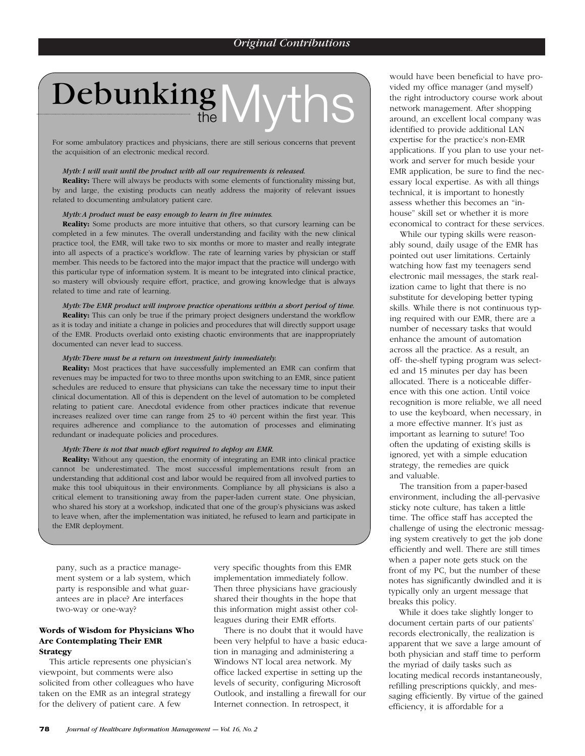# Debunking Myths

For some ambulatory practices and physicians, there are still serious concerns that prevent the acquisition of an electronic medical record.

### *Myth: I will wait until the product with all our requirements is released.*

**Reality:** There will always be products with some elements of functionality missing but, by and large, the existing products can neatly address the majority of relevant issues related to documenting ambulatory patient care.

# *Myth:A product must be easy enough to learn in five minutes.*

**Reality:** Some products are more intuitive that others, so that cursory learning can be completed in a few minutes. The overall understanding and facility with the new clinical practice tool, the EMR, will take two to six months or more to master and really integrate into all aspects of a practice's workflow. The rate of learning varies by physician or staff member. This needs to be factored into the major impact that the practice will undergo with this particular type of information system. It is meant to be integrated into clinical practice, so mastery will obviously require effort, practice, and growing knowledge that is always related to time and rate of learning.

*Myth:The EMR product will improve practice operations within a short period of time.*

**Reality:** This can only be true if the primary project designers understand the workflow as it is today and initiate a change in policies and procedures that will directly support usage of the EMR. Products overlaid onto existing chaotic environments that are inappropriately documented can never lead to success.

## *Myth:There must be a return on investment fairly immediately.*

**Reality:** Most practices that have successfully implemented an EMR can confirm that revenues may be impacted for two to three months upon switching to an EMR, since patient schedules are reduced to ensure that physicians can take the necessary time to input their clinical documentation. All of this is dependent on the level of automation to be completed relating to patient care. Anecdotal evidence from other practices indicate that revenue increases realized over time can range from 25 to 40 percent within the first year. This requires adherence and compliance to the automation of processes and eliminating redundant or inadequate policies and procedures.

### *Myth:There is not that much effort required to deploy an EMR.*

**Reality:** Without any question, the enormity of integrating an EMR into clinical practice cannot be underestimated. The most successful implementations result from an understanding that additional cost and labor would be required from all involved parties to make this tool ubiquitous in their environments. Compliance by all physicians is also a critical element to transitioning away from the paper-laden current state. One physician, who shared his story at a workshop, indicated that one of the group's physicians was asked to leave when, after the implementation was initiated, he refused to learn and participate in the EMR deployment.

pany, such as a practice management system or a lab system, which party is responsible and what guarantees are in place? Are interfaces two-way or one-way?

# **Words of Wisdom for Physicians Who Are Contemplating Their EMR Strategy**

This article represents one physician's viewpoint, but comments were also solicited from other colleagues who have taken on the EMR as an integral strategy for the delivery of patient care. A few

very specific thoughts from this EMR implementation immediately follow. Then three physicians have graciously shared their thoughts in the hope that this information might assist other colleagues during their EMR efforts.

There is no doubt that it would have been very helpful to have a basic education in managing and administering a Windows NT local area network. My office lacked expertise in setting up the levels of security, configuring Microsoft Outlook, and installing a firewall for our Internet connection. In retrospect, it

would have been beneficial to have provided my office manager (and myself) the right introductory course work about network management. After shopping around, an excellent local company was identified to provide additional LAN expertise for the practice's non-EMR applications. If you plan to use your network and server for much beside your EMR application, be sure to find the necessary local expertise. As with all things technical, it is important to honestly assess whether this becomes an "inhouse" skill set or whether it is more economical to contract for these services.

While our typing skills were reasonably sound, daily usage of the EMR has pointed out user limitations. Certainly watching how fast my teenagers send electronic mail messages, the stark realization came to light that there is no substitute for developing better typing skills. While there is not continuous typing required with our EMR, there are a number of necessary tasks that would enhance the amount of automation across all the practice. As a result, an off- the-shelf typing program was selected and 15 minutes per day has been allocated. There is a noticeable difference with this one action. Until voice recognition is more reliable, we all need to use the keyboard, when necessary, in a more effective manner. It's just as important as learning to suture! Too often the updating of existing skills is ignored, yet with a simple education strategy, the remedies are quick and valuable.

The transition from a paper-based environment, including the all-pervasive sticky note culture, has taken a little time. The office staff has accepted the challenge of using the electronic messaging system creatively to get the job done efficiently and well. There are still times when a paper note gets stuck on the front of my PC, but the number of these notes has significantly dwindled and it is typically only an urgent message that breaks this policy.

While it does take slightly longer to document certain parts of our patients' records electronically, the realization is apparent that we save a large amount of both physician and staff time to perform the myriad of daily tasks such as locating medical records instantaneously, refilling prescriptions quickly, and messaging efficiently. By virtue of the gained efficiency, it is affordable for a